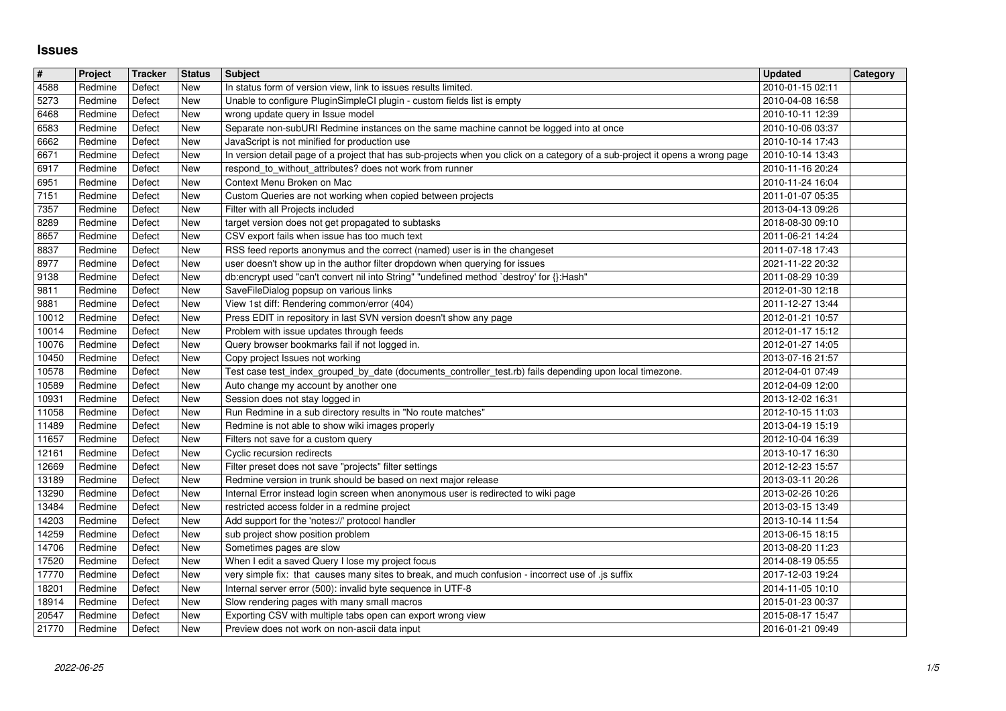## **Issues**

| 4588           | Project            | Tracker          | <b>Status</b>     | Subject                                                                                                                                                                        | <b>Updated</b>                       | <b>Category</b> |
|----------------|--------------------|------------------|-------------------|--------------------------------------------------------------------------------------------------------------------------------------------------------------------------------|--------------------------------------|-----------------|
| 5273           | Redmine<br>Redmine | Defect<br>Defect | New<br>New        | In status form of version view, link to issues results limited.<br>Unable to configure PluginSimpleCI plugin - custom fields list is empty                                     | 2010-01-15 02:11<br>2010-04-08 16:58 |                 |
| 6468           | Redmine            | Defect           | New               | wrong update query in Issue model                                                                                                                                              | 2010-10-11 12:39                     |                 |
| 6583           | Redmine            | Defect           | New               | Separate non-subURI Redmine instances on the same machine cannot be logged into at once                                                                                        | 2010-10-06 03:37                     |                 |
| 6662<br>6671   | Redmine<br>Redmine | Defect<br>Defect | New<br>New        | JavaScript is not minified for production use<br>In version detail page of a project that has sub-projects when you click on a category of a sub-project it opens a wrong page | 2010-10-14 17:43<br>2010-10-14 13:43 |                 |
| 6917           | Redmine            | Defect           | New               | respond_to_without_attributes? does not work from runner                                                                                                                       | 2010-11-16 20:24                     |                 |
| 6951<br>7151   | Redmine<br>Redmine | Defect<br>Defect | New<br>New        | Context Menu Broken on Mac<br>Custom Queries are not working when copied between projects                                                                                      | 2010-11-24 16:04<br>2011-01-07 05:35 |                 |
| 7357           | Redmine            | Defect           | New               | Filter with all Projects included                                                                                                                                              | 2013-04-13 09:26                     |                 |
| 8289           | Redmine            | Defect           | New               | target version does not get propagated to subtasks                                                                                                                             | 2018-08-30 09:10                     |                 |
| 8657<br>8837   | Redmine<br>Redmine | Defect<br>Defect | New<br>New        | CSV export fails when issue has too much text<br>RSS feed reports anonymus and the correct (named) user is in the changeset                                                    | 2011-06-21 14:24<br>2011-07-18 17:43 |                 |
| 8977           | Redmine            | Defect           | New               | user doesn't show up in the author filter dropdown when querying for issues                                                                                                    | 2021-11-22 20:32                     |                 |
| 9138<br>9811   | Redmine<br>Redmine | Defect<br>Defect | New<br>New        | db:encrypt used "can't convert nil into String" "undefined method `destroy' for {}:Hash"<br>SaveFileDialog popsup on various links                                             | 2011-08-29 10:39<br>2012-01-30 12:18 |                 |
| 9881           | Redmine            | Defect           | New               | View 1st diff: Rendering common/error (404)                                                                                                                                    | 2011-12-27 13:44                     |                 |
| 10012<br>10014 | Redmine<br>Redmine | Defect<br>Defect | New<br>New        | Press EDIT in repository in last SVN version doesn't show any page<br>Problem with issue updates through feeds                                                                 | 2012-01-21 10:57<br>2012-01-17 15:12 |                 |
| 10076          | Redmine            | Defect           | New               | Query browser bookmarks fail if not logged in.                                                                                                                                 | 2012-01-27 14:05                     |                 |
| 10450          | Redmine            | Defect           | New               | Copy project Issues not working                                                                                                                                                | 2013-07-16 21:57                     |                 |
| 10578<br>10589 | Redmine<br>Redmine | Defect<br>Defect | New<br>New        | Test case test_index_grouped_by_date (documents_controller_test.rb) fails depending upon local timezone.<br>Auto change my account by another one                              | 2012-04-01 07:49<br>2012-04-09 12:00 |                 |
| 10931          | Redmine            | Defect           | New               | Session does not stay logged in                                                                                                                                                | 2013-12-02 16:31                     |                 |
| 11058<br>11489 | Redmine<br>Redmine | Defect<br>Defect | New<br>New        | Run Redmine in a sub directory results in "No route matches"<br>Redmine is not able to show wiki images properly                                                               | 2012-10-15 11:03<br>2013-04-19 15:19 |                 |
| 11657          | Redmine            | Defect           | New               | Filters not save for a custom query                                                                                                                                            | 2012-10-04 16:39                     |                 |
| 12161<br>12669 | Redmine<br>Redmine | Defect<br>Defect | <b>New</b><br>New | Cyclic recursion redirects<br>Filter preset does not save "projects" filter settings                                                                                           | 2013-10-17 16:30<br>2012-12-23 15:57 |                 |
| 13189          | Redmine            | Defect           | New               | Redmine version in trunk should be based on next major release                                                                                                                 | 2013-03-11 20:26                     |                 |
| 13290          | Redmine            | Defect           | New               | Internal Error instead login screen when anonymous user is redirected to wiki page                                                                                             | 2013-02-26 10:26                     |                 |
| 13484<br>14203 | Redmine<br>Redmine | Defect<br>Defect | New<br>New        | restricted access folder in a redmine project<br>Add support for the 'notes://' protocol handler                                                                               | 2013-03-15 13:49<br>2013-10-14 11:54 |                 |
| 14259          | Redmine            | Defect           | New               | sub project show position problem                                                                                                                                              | 2013-06-15 18:15                     |                 |
| 14706<br>17520 | Redmine<br>Redmine | Defect<br>Defect | New<br>New        | Sometimes pages are slow<br>When I edit a saved Query I lose my project focus                                                                                                  | 2013-08-20 11:23<br>2014-08-19 05:55 |                 |
| 17770          | Redmine            | Defect           | New               | very simple fix: that causes many sites to break, and much confusion - incorrect use of .js suffix                                                                             | 2017-12-03 19:24                     |                 |
| 18201<br>18914 | Redmine<br>Redmine | Defect<br>Defect | New<br>New        | Internal server error (500): invalid byte sequence in UTF-8<br>Slow rendering pages with many small macros                                                                     | 2014-11-05 10:10<br>2015-01-23 00:37 |                 |
| 20547          | Redmine            | Defect<br>Defect | New               | Exporting CSV with multiple tabs open can export wrong view<br>Preview does not work on non-ascii data input                                                                   | 2015-08-17 15:47<br>2016-01-21 09:49 |                 |
|                |                    |                  |                   |                                                                                                                                                                                |                                      |                 |
|                |                    |                  |                   |                                                                                                                                                                                |                                      |                 |
|                |                    |                  |                   |                                                                                                                                                                                |                                      |                 |
|                |                    |                  |                   |                                                                                                                                                                                |                                      |                 |
|                |                    |                  |                   |                                                                                                                                                                                |                                      |                 |
|                |                    |                  |                   |                                                                                                                                                                                |                                      |                 |
|                |                    |                  |                   |                                                                                                                                                                                |                                      |                 |
|                |                    |                  |                   |                                                                                                                                                                                |                                      |                 |
|                |                    |                  |                   |                                                                                                                                                                                |                                      |                 |
|                |                    |                  |                   |                                                                                                                                                                                |                                      |                 |
|                |                    |                  |                   |                                                                                                                                                                                |                                      |                 |
|                |                    |                  |                   |                                                                                                                                                                                |                                      |                 |
|                |                    |                  |                   |                                                                                                                                                                                |                                      |                 |
|                |                    |                  |                   |                                                                                                                                                                                |                                      |                 |
|                |                    |                  |                   |                                                                                                                                                                                |                                      |                 |
|                |                    |                  |                   |                                                                                                                                                                                |                                      |                 |
|                |                    |                  |                   |                                                                                                                                                                                |                                      |                 |
|                |                    |                  |                   |                                                                                                                                                                                |                                      |                 |
|                |                    |                  |                   |                                                                                                                                                                                |                                      |                 |
|                |                    |                  |                   |                                                                                                                                                                                |                                      |                 |
|                |                    |                  |                   |                                                                                                                                                                                |                                      |                 |
|                |                    |                  |                   |                                                                                                                                                                                |                                      |                 |
|                |                    |                  |                   |                                                                                                                                                                                |                                      |                 |
|                |                    |                  |                   |                                                                                                                                                                                |                                      |                 |
|                |                    |                  |                   |                                                                                                                                                                                |                                      |                 |
|                |                    |                  |                   |                                                                                                                                                                                |                                      |                 |
|                |                    |                  |                   |                                                                                                                                                                                |                                      |                 |
|                |                    |                  |                   |                                                                                                                                                                                |                                      |                 |
|                |                    |                  |                   |                                                                                                                                                                                |                                      |                 |
|                |                    |                  |                   |                                                                                                                                                                                |                                      |                 |
|                |                    |                  |                   |                                                                                                                                                                                |                                      |                 |
|                |                    |                  |                   |                                                                                                                                                                                |                                      |                 |
|                |                    |                  |                   |                                                                                                                                                                                |                                      |                 |
|                |                    |                  |                   |                                                                                                                                                                                |                                      |                 |
|                |                    |                  |                   |                                                                                                                                                                                |                                      |                 |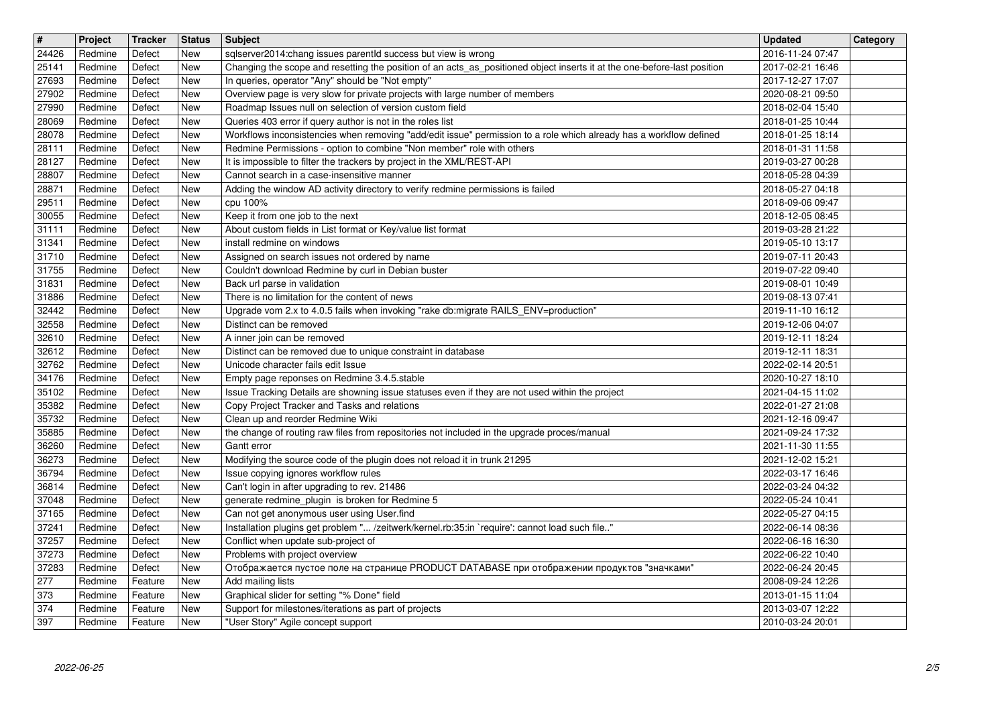| $\overline{\mathbf{H}}$ | Project<br>Redmine | Tracker<br>Defect  | <b>Status</b><br>New     | <b>Subject</b>                                                                                                                                                                            | <b>Updated</b><br>2016-11-24 07:47   | Category |
|-------------------------|--------------------|--------------------|--------------------------|-------------------------------------------------------------------------------------------------------------------------------------------------------------------------------------------|--------------------------------------|----------|
| 24426<br>25141          | Redmine            | Defect             | New                      | sqlserver2014:chang issues parentId success but view is wrong<br>Changing the scope and resetting the position of an acts_as_positioned object inserts it at the one-before-last position | 2017-02-21 16:46                     |          |
| 27693<br>27902          | Redmine<br>Redmine | Defect<br>Defect   | New<br>New               | In queries, operator "Any" should be "Not empty"<br>Overview page is very slow for private projects with large number of members                                                          | 2017-12-27 17:07<br>2020-08-21 09:50 |          |
| 27990                   | Redmine            | Defect             | New                      | Roadmap Issues null on selection of version custom field                                                                                                                                  | 2018-02-04 15:40                     |          |
| 28069<br>28078          | Redmine<br>Redmine | Defect<br>Defect   | New<br>New               | Queries 403 error if query author is not in the roles list<br>Workflows inconsistencies when removing "add/edit issue" permission to a role which already has a workflow defined          | 2018-01-25 10:44<br>2018-01-25 18:14 |          |
| 28111                   | Redmine            | Defect             | New                      | Redmine Permissions - option to combine "Non member" role with others                                                                                                                     | 2018-01-31 11:58                     |          |
| 28127<br>28807          | Redmine<br>Redmine | Defect<br>Defect   | <b>New</b><br><b>New</b> | It is impossible to filter the trackers by project in the XML/REST-API<br>Cannot search in a case-insensitive manner                                                                      | 2019-03-27 00:28<br>2018-05-28 04:39 |          |
| 28871                   | Redmine            | Defect             | New                      | Adding the window AD activity directory to verify redmine permissions is failed                                                                                                           | 2018-05-27 04:18                     |          |
| 29511<br>30055          | Redmine<br>Redmine | Defect<br>Defect   | New<br>New               | cpu 100%<br>Keep it from one job to the next                                                                                                                                              | 2018-09-06 09:47<br>2018-12-05 08:45 |          |
| 31111                   | Redmine            | Defect             | New                      | About custom fields in List format or Key/value list format                                                                                                                               | 2019-03-28 21:22                     |          |
| 31341<br>31710          | Redmine<br>Redmine | Defect<br>Defect   | New<br>New               | install redmine on windows<br>Assigned on search issues not ordered by name                                                                                                               | 2019-05-10 13:17<br>2019-07-11 20:43 |          |
| 31755                   | Redmine            | Defect             | New                      | Couldn't download Redmine by curl in Debian buster                                                                                                                                        | 2019-07-22 09:40                     |          |
| 31831<br>31886          | Redmine<br>Redmine | Defect<br>Defect   | New<br>New               | Back url parse in validation<br>There is no limitation for the content of news                                                                                                            | 2019-08-01 10:49<br>2019-08-13 07:41 |          |
| 32442<br>32558          | Redmine<br>Redmine | Defect<br>Defect   | New<br>New               | Upgrade vom 2.x to 4.0.5 fails when invoking "rake db:migrate RAILS_ENV=production"<br>Distinct can be removed                                                                            | 2019-11-10 16:12<br>2019-12-06 04:07 |          |
| 32610                   | Redmine            | Defect             | New                      | A inner join can be removed                                                                                                                                                               | 2019-12-11 18:24                     |          |
| 32612<br>32762          | Redmine<br>Redmine | Defect<br>Defect   | New<br>New               | Distinct can be removed due to unique constraint in database<br>Unicode character fails edit Issue                                                                                        | 2019-12-11 18:31<br>2022-02-14 20:51 |          |
| 34176                   | Redmine            | Defect             | New                      | Empty page reponses on Redmine 3.4.5.stable                                                                                                                                               | 2020-10-27 18:10                     |          |
| 35102<br>35382          | Redmine<br>Redmine | Defect<br>Defect   | New<br>New               | Issue Tracking Details are showning issue statuses even if they are not used within the project<br>Copy Project Tracker and Tasks and relations                                           | 2021-04-15 11:02<br>2022-01-27 21:08 |          |
| 35732                   | Redmine            | Defect             | New                      | Clean up and reorder Redmine Wiki                                                                                                                                                         | 2021-12-16 09:47                     |          |
| 35885<br>36260          | Redmine<br>Redmine | Defect<br>Defect   | New<br>New               | the change of routing raw files from repositories not included in the upgrade proces/manual<br>Gantt error                                                                                | 2021-09-24 17:32<br>2021-11-30 11:55 |          |
| 36273                   | Redmine            | Defect             | <b>New</b>               | Modifying the source code of the plugin does not reload it in trunk 21295                                                                                                                 | 2021-12-02 15:21                     |          |
| 36794<br>36814          | Redmine<br>Redmine | Defect<br>Defect   | New<br>New               | Issue copying ignores workflow rules<br>Can't login in after upgrading to rev. 21486                                                                                                      | 2022-03-17 16:46<br>2022-03-24 04:32 |          |
| 37048                   | Redmine            | Defect             | New                      | generate redmine_plugin is broken for Redmine 5                                                                                                                                           | 2022-05-24 10:41                     |          |
| 37165<br>37241          | Redmine<br>Redmine | Defect<br>Defect   | New<br>New               | Can not get anonymous user using User.find<br>Installation plugins get problem " /zeitwerk/kernel.rb:35:in `require': cannot load such file"                                              | 2022-05-27 04:15<br>2022-06-14 08:36 |          |
| 37257                   | Redmine            | Defect             | New                      | Conflict when update sub-project of                                                                                                                                                       | 2022-06-16 16:30                     |          |
| 37273<br>37283          | Redmine<br>Redmine | Defect<br>Defect   | New<br><b>New</b>        | Problems with project overview<br>Отображается пустое поле на странице PRODUCT DATABASE при отображении продуктов "значками"                                                              | 2022-06-22 10:40<br>2022-06-24 20:45 |          |
| 277                     | Redmine            | Feature            | New                      | Add mailing lists                                                                                                                                                                         | 2008-09-24 12:26                     |          |
| 373<br>374              | Redmine<br>Redmine | Feature<br>Feature | New<br>New               | Graphical slider for setting "% Done" field<br>Support for milestones/iterations as part of projects                                                                                      | 2013-01-15 11:04<br>2013-03-07 12:22 |          |
|                         |                    |                    |                          |                                                                                                                                                                                           |                                      |          |
|                         |                    |                    |                          |                                                                                                                                                                                           |                                      |          |
|                         |                    |                    |                          |                                                                                                                                                                                           |                                      |          |
|                         |                    |                    |                          |                                                                                                                                                                                           |                                      |          |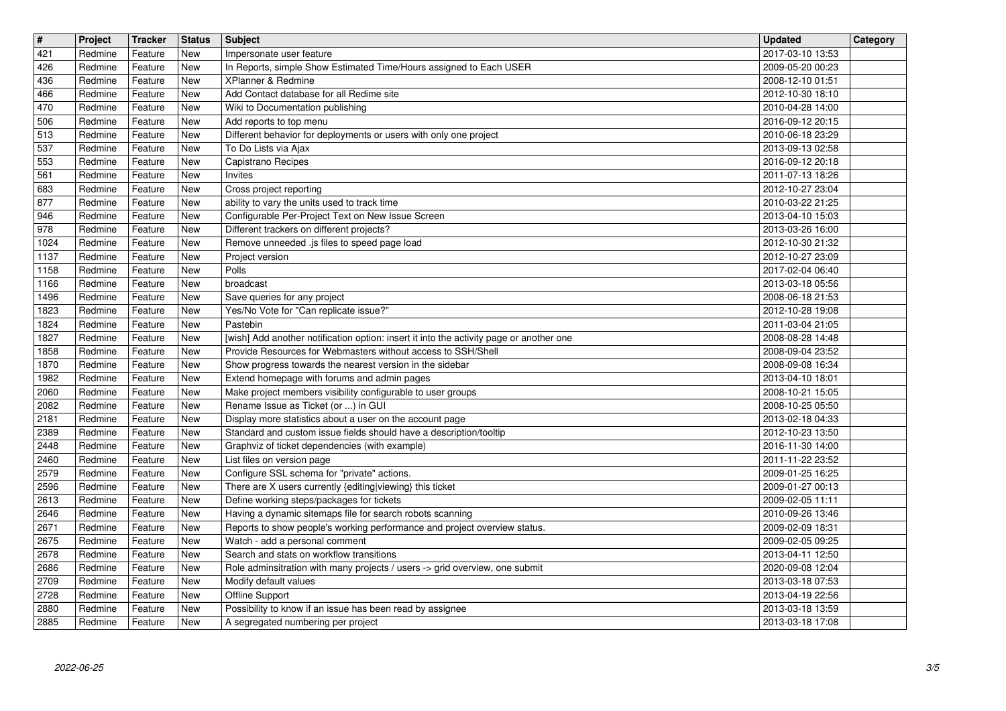| $\overline{\mathbf{H}}$<br>421 | Project            | <b>Tracker</b>     | <b>Status</b><br><b>New</b> | <b>Subject</b>                                                                                                                         | <b>Updated</b><br>2017-03-10 13:53   | Category |
|--------------------------------|--------------------|--------------------|-----------------------------|----------------------------------------------------------------------------------------------------------------------------------------|--------------------------------------|----------|
| 426                            | Redmine<br>Redmine | Feature<br>Feature | <b>New</b>                  | Impersonate user feature<br>In Reports, simple Show Estimated Time/Hours assigned to Each USER                                         | 2009-05-20 00:23                     |          |
| 436<br>466                     | Redmine<br>Redmine | Feature<br>Feature | <b>New</b><br><b>New</b>    | XPlanner & Redmine<br>Add Contact database for all Redime site                                                                         | 2008-12-10 01:51<br>2012-10-30 18:10 |          |
| 470                            | Redmine            | Feature            | <b>New</b>                  | Wiki to Documentation publishing                                                                                                       | 2010-04-28 14:00                     |          |
| 506<br>513                     | Redmine<br>Redmine | Feature<br>Feature | New<br>New                  | Add reports to top menu<br>Different behavior for deployments or users with only one project                                           | 2016-09-12 20:15<br>2010-06-18 23:29 |          |
| 537                            | Redmine            | Feature            | New                         | To Do Lists via Ajax                                                                                                                   | 2013-09-13 02:58                     |          |
| 553<br>561                     | Redmine<br>Redmine | Feature<br>Feature | <b>New</b><br><b>New</b>    | Capistrano Recipes<br>Invites                                                                                                          | 2016-09-12 20:18<br>2011-07-13 18:26 |          |
| 683                            | Redmine            | Feature            | <b>New</b>                  | Cross project reporting                                                                                                                | 2012-10-27 23:04                     |          |
| 877<br>946                     | Redmine<br>Redmine | Feature<br>Feature | <b>New</b><br>New           | ability to vary the units used to track time<br>Configurable Per-Project Text on New Issue Screen                                      | 2010-03-22 21:25<br>2013-04-10 15:03 |          |
| 978                            | Redmine            | Feature            | New                         | Different trackers on different projects?                                                                                              | 2013-03-26 16:00                     |          |
| 1024<br>1137                   | Redmine<br>Redmine | Feature<br>Feature | New<br>New                  | Remove unneeded .js files to speed page load<br>Project version                                                                        | 2012-10-30 21:32<br>2012-10-27 23:09 |          |
| 1158                           | Redmine            | Feature            | New                         | Polls                                                                                                                                  | 2017-02-04 06:40                     |          |
| 1166<br>1496                   | Redmine<br>Redmine | Feature<br>Feature | New<br>New                  | broadcast<br>Save queries for any project                                                                                              | 2013-03-18 05:56<br>2008-06-18 21:53 |          |
| 1823<br>1824                   | Redmine<br>Redmine | Feature<br>Feature | New<br>New                  | Yes/No Vote for "Can replicate issue?"<br>Pastebin                                                                                     | 2012-10-28 19:08<br>2011-03-04 21:05 |          |
| 1827                           | Redmine            | Feature            | New                         | [wish] Add another notification option: insert it into the activity page or another one                                                | 2008-08-28 14:48                     |          |
| 1858<br>1870                   | Redmine<br>Redmine | Feature<br>Feature | New<br>New                  | Provide Resources for Webmasters without access to SSH/Shell<br>Show progress towards the nearest version in the sidebar               | 2008-09-04 23:52<br>2008-09-08 16:34 |          |
| 1982                           | Redmine            | Feature            | New                         | Extend homepage with forums and admin pages                                                                                            | 2013-04-10 18:01                     |          |
| 2060<br>2082                   | Redmine<br>Redmine | Feature<br>Feature | New<br>New                  | Make project members visibility configurable to user groups<br>Rename Issue as Ticket (or ) in GUI                                     | 2008-10-21 15:05<br>2008-10-25 05:50 |          |
| 2181                           | Redmine            | Feature            | New                         | Display more statistics about a user on the account page                                                                               | 2013-02-18 04:33                     |          |
| 2389<br>2448                   | Redmine<br>Redmine | Feature<br>Feature | New<br>New                  | Standard and custom issue fields should have a description/tooltip<br>Graphviz of ticket dependencies (with example)                   | 2012-10-23 13:50<br>2016-11-30 14:00 |          |
| 2460                           | Redmine            | Feature            | New                         | List files on version page                                                                                                             | 2011-11-22 23:52                     |          |
| 2579<br>2596                   | Redmine<br>Redmine | Feature<br>Feature | New<br>New                  | Configure SSL schema for "private" actions.<br>There are X users currently {editing viewing} this ticket                               | 2009-01-25 16:25<br>2009-01-27 00:13 |          |
| 2613                           | Redmine            | Feature            | New                         | Define working steps/packages for tickets                                                                                              | 2009-02-05 11:11                     |          |
| 2646<br>2671                   | Redmine<br>Redmine | Feature<br>Feature | New<br>New                  | Having a dynamic sitemaps file for search robots scanning<br>Reports to show people's working performance and project overview status. | 2010-09-26 13:46<br>2009-02-09 18:31 |          |
| 2675                           | Redmine            | Feature            | New                         | Watch - add a personal comment                                                                                                         | 2009-02-05 09:25                     |          |
| 2678<br>2686                   | Redmine<br>Redmine | Feature<br>Feature | New<br>New                  | Search and stats on workflow transitions<br>Role adminsitration with many projects / users -> grid overview, one submit                | 2013-04-11 12:50<br>2020-09-08 12:04 |          |
| 2709<br>2728                   | Redmine<br>Redmine | Feature<br>Feature | New<br>New                  | Modify default values<br>Offline Support                                                                                               | 2013-03-18 07:53<br>2013-04-19 22:56 |          |
| 2880<br>2885                   | Redmine<br>Redmine | Feature<br>Feature | New<br>New                  | Possibility to know if an issue has been read by assignee<br>A segregated numbering per project                                        | 2013-03-18 13:59<br>2013-03-18 17:08 |          |
|                                |                    |                    |                             |                                                                                                                                        |                                      |          |
|                                |                    |                    |                             |                                                                                                                                        |                                      |          |
|                                |                    |                    |                             |                                                                                                                                        |                                      |          |
|                                |                    |                    |                             |                                                                                                                                        |                                      |          |
|                                |                    |                    |                             |                                                                                                                                        |                                      |          |
|                                |                    |                    |                             |                                                                                                                                        |                                      |          |
|                                |                    |                    |                             |                                                                                                                                        |                                      |          |
|                                |                    |                    |                             |                                                                                                                                        |                                      |          |
|                                |                    |                    |                             |                                                                                                                                        |                                      |          |
|                                |                    |                    |                             |                                                                                                                                        |                                      |          |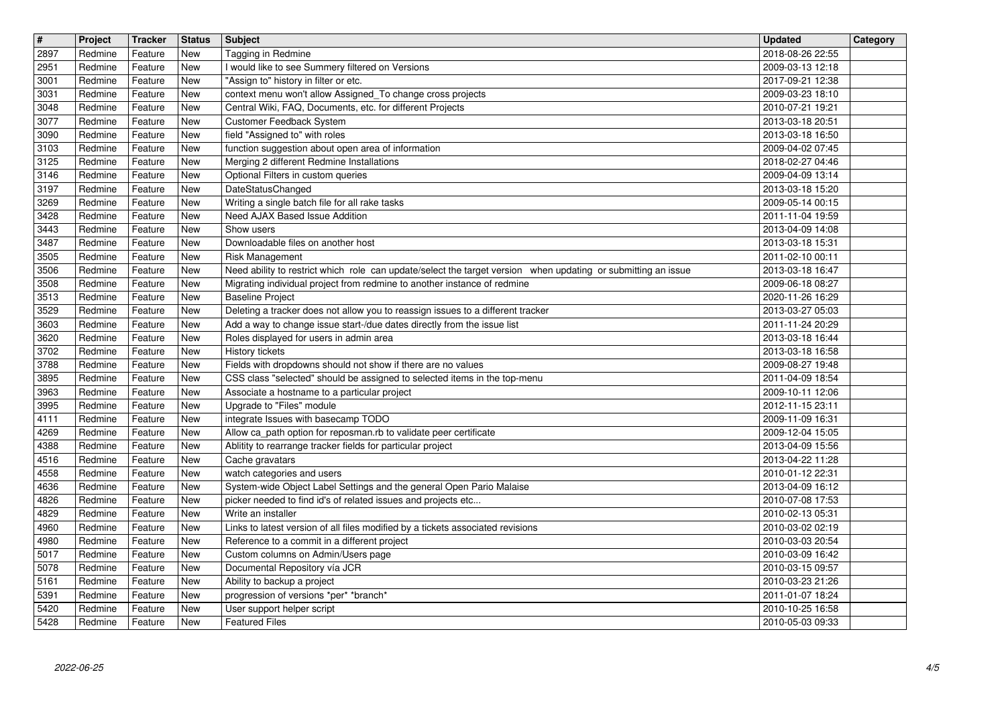| $\overline{\mathbf{H}}$ | Project            | Tracker            | <b>Status</b>                  | <b>Subject</b>                                                                                                                                             | <b>Updated</b>                       | Category |
|-------------------------|--------------------|--------------------|--------------------------------|------------------------------------------------------------------------------------------------------------------------------------------------------------|--------------------------------------|----------|
| 2897<br>2951            | Redmine<br>Redmine | Feature<br>Feature | New<br>New                     | Tagging in Redmine<br>I would like to see Summery filtered on Versions                                                                                     | 2018-08-26 22:55<br>2009-03-13 12:18 |          |
| 3001<br>3031            | Redmine<br>Redmine | Feature<br>Feature | New<br>New                     | "Assign to" history in filter or etc.<br>context menu won't allow Assigned_To change cross projects                                                        | 2017-09-21 12:38<br>2009-03-23 18:10 |          |
| 3048                    | Redmine            | Feature            | New                            | Central Wiki, FAQ, Documents, etc. for different Projects                                                                                                  | 2010-07-21 19:21                     |          |
| 3077<br>3090            | Redmine<br>Redmine | Feature<br>Feature | New<br>New                     | Customer Feedback System<br>field "Assigned to" with roles                                                                                                 | 2013-03-18 20:51<br>2013-03-18 16:50 |          |
| 3103                    | Redmine            | Feature            | New                            | function suggestion about open area of information                                                                                                         | 2009-04-02 07:45                     |          |
| 3125<br>3146            | Redmine<br>Redmine | Feature<br>Feature | New<br><b>New</b>              | Merging 2 different Redmine Installations<br>Optional Filters in custom queries                                                                            | 2018-02-27 04:46<br>2009-04-09 13:14 |          |
| 3197                    | Redmine            | Feature            | New                            | DateStatusChanged                                                                                                                                          | 2013-03-18 15:20                     |          |
| 3269<br>3428            | Redmine<br>Redmine | Feature<br>Feature | <b>New</b><br>New              | Writing a single batch file for all rake tasks<br>Need AJAX Based Issue Addition                                                                           | 2009-05-14 00:15<br>2011-11-04 19:59 |          |
| 3443                    | Redmine            | Feature            | New                            | Show users                                                                                                                                                 | 2013-04-09 14:08                     |          |
| 3487<br>3505            | Redmine<br>Redmine | Feature<br>Feature | New<br>New                     | Downloadable files on another host<br><b>Risk Management</b>                                                                                               | 2013-03-18 15:31<br>2011-02-10 00:11 |          |
| 3506                    | Redmine            | Feature            | New                            | Need ability to restrict which role can update/select the target version when updating or submitting an issue                                              | 2013-03-18 16:47                     |          |
| 3508<br>3513            | Redmine<br>Redmine | Feature<br>Feature | New<br>New                     | Migrating individual project from redmine to another instance of redmine<br><b>Baseline Project</b>                                                        | 2009-06-18 08:27<br>2020-11-26 16:29 |          |
| 3529<br>3603            | Redmine<br>Redmine | Feature<br>Feature | $\overline{\text{New}}$<br>New | Deleting a tracker does not allow you to reassign issues to a different tracker<br>Add a way to change issue start-/due dates directly from the issue list | 2013-03-27 05:03<br>2011-11-24 20:29 |          |
| 3620                    | Redmine            | Feature            | New                            | Roles displayed for users in admin area                                                                                                                    | 2013-03-18 16:44                     |          |
| 3702<br>3788            | Redmine<br>Redmine | Feature<br>Feature | New<br>New                     | History tickets<br>Fields with dropdowns should not show if there are no values                                                                            | 2013-03-18 16:58<br>2009-08-27 19:48 |          |
| 3895                    | Redmine            | Feature            | New                            | CSS class "selected" should be assigned to selected items in the top-menu                                                                                  | 2011-04-09 18:54                     |          |
| 3963<br>3995            | Redmine<br>Redmine | Feature<br>Feature | New<br>New                     | Associate a hostname to a particular project<br>Upgrade to "Files" module                                                                                  | 2009-10-11 12:06<br>2012-11-15 23:11 |          |
| 4111                    | Redmine            | Feature            | New                            | integrate Issues with basecamp TODO                                                                                                                        | 2009-11-09 16:31                     |          |
| 4269<br>4388            | Redmine<br>Redmine | Feature<br>Feature | <b>New</b><br>New              | Allow ca_path option for reposman.rb to validate peer certificate<br>Ablitity to rearrange tracker fields for particular project                           | 2009-12-04 15:05<br>2013-04-09 15:56 |          |
| 4516<br>4558            | Redmine            | Feature            | New                            | Cache gravatars                                                                                                                                            | 2013-04-22 11:28                     |          |
| 4636                    | Redmine<br>Redmine | Feature<br>Feature | New<br>New                     | watch categories and users<br>System-wide Object Label Settings and the general Open Pario Malaise                                                         | 2010-01-12 22:31<br>2013-04-09 16:12 |          |
| 4826<br>4829            | Redmine<br>Redmine | Feature<br>Feature | New<br>New                     | picker needed to find id's of related issues and projects etc<br>Write an installer                                                                        | 2010-07-08 17:53<br>2010-02-13 05:31 |          |
| 4960                    | Redmine            | Feature            | New                            | Links to latest version of all files modified by a tickets associated revisions                                                                            | 2010-03-02 02:19                     |          |
| 4980<br>5017            | Redmine<br>Redmine | Feature<br>Feature | New<br>New                     | Reference to a commit in a different project<br>Custom columns on Admin/Users page                                                                         | 2010-03-03 20:54<br>2010-03-09 16:42 |          |
| 5078                    | Redmine            | Feature            | New                            | Documental Repository vía JCR                                                                                                                              | 2010-03-15 09:57                     |          |
| 5161<br>5391            | Redmine<br>Redmine | Feature<br>Feature | New<br>New                     | Ability to backup a project<br>progression of versions *per* *branch*                                                                                      | 2010-03-23 21:26<br>2011-01-07 18:24 |          |
| 5420<br>5428            | Redmine<br>Redmine | Feature<br>Feature | New<br>New                     | User support helper script<br><b>Featured Files</b>                                                                                                        | 2010-10-25 16:58<br>2010-05-03 09:33 |          |
|                         |                    |                    |                                |                                                                                                                                                            |                                      |          |
|                         |                    |                    |                                |                                                                                                                                                            |                                      |          |
|                         |                    |                    |                                |                                                                                                                                                            |                                      |          |
|                         |                    |                    |                                |                                                                                                                                                            |                                      |          |
|                         |                    |                    |                                |                                                                                                                                                            |                                      |          |
|                         |                    |                    |                                |                                                                                                                                                            |                                      |          |
|                         |                    |                    |                                |                                                                                                                                                            |                                      |          |
|                         |                    |                    |                                |                                                                                                                                                            |                                      |          |
|                         |                    |                    |                                |                                                                                                                                                            |                                      |          |
|                         |                    |                    |                                |                                                                                                                                                            |                                      |          |